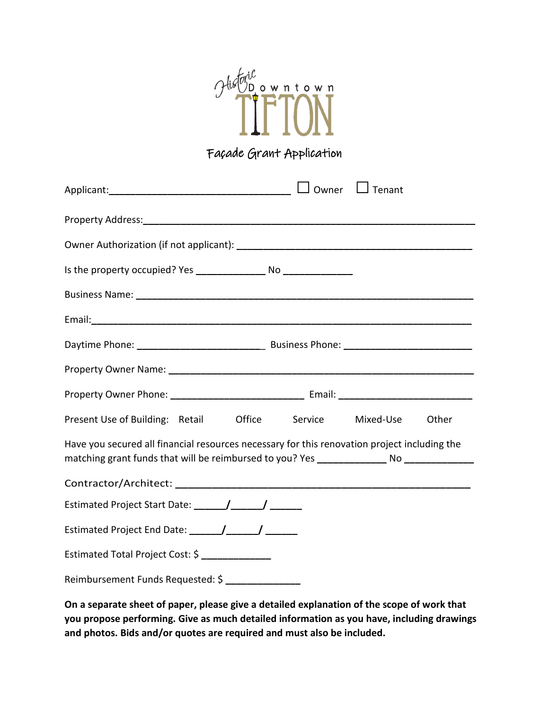

# Façade Grant Application

| Present Use of Building: Retail Office Service Mixed-Use Other                               |  |  |  |  |
|----------------------------------------------------------------------------------------------|--|--|--|--|
| Have you secured all financial resources necessary for this renovation project including the |  |  |  |  |
|                                                                                              |  |  |  |  |
| Estimated Project Start Date: ______/_______/ _______                                        |  |  |  |  |
| Estimated Project End Date: \[\sqrtdgg \]                                                    |  |  |  |  |
| Estimated Total Project Cost: \$                                                             |  |  |  |  |
| Reimbursement Funds Requested: \$ ______________                                             |  |  |  |  |

**On a separate sheet of paper, please give a detailed explanation of the scope of work that you propose performing. Give as much detailed information as you have, including drawings and photos. Bids and/or quotes are required and must also be included.**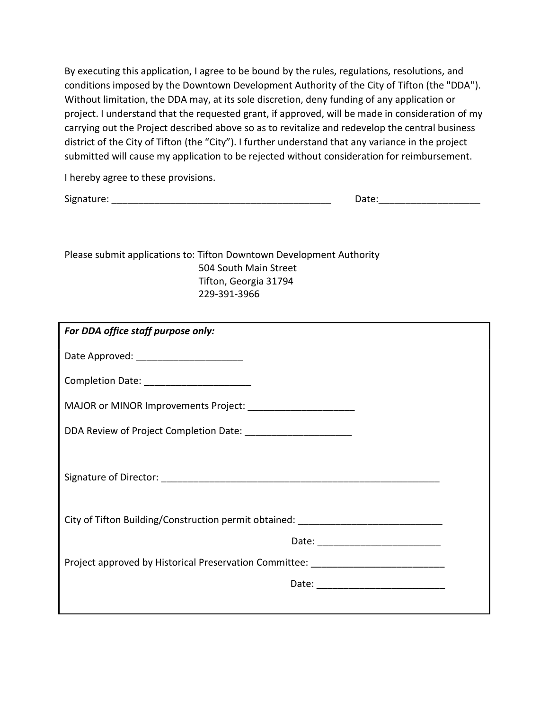By executing this application, I agree to be bound by the rules, regulations, resolutions, and conditions imposed by the Downtown Development Authority of the City of Tifton (the "DDA''). Without limitation, the DDA may, at its sole discretion, deny funding of any application or project. I understand that the requested grant, if approved, will be made in consideration of my carrying out the Project described above so as to revitalize and redevelop the central business district of the City of Tifton (the "City"). I further understand that any variance in the project submitted will cause my application to be rejected without consideration for reimbursement.

I hereby agree to these provisions.

Signature: \_\_\_\_\_\_\_\_\_\_\_\_\_\_\_\_\_\_\_\_\_\_\_\_\_\_\_\_\_\_\_\_\_\_\_\_\_\_\_\_\_ Date:\_\_\_\_\_\_\_\_\_\_\_\_\_\_\_\_\_\_\_

Please submit applications to: Tifton Downtown Development Authority 504 South Main Street Tifton, Georgia 31794 229-391-3966

| For DDA office staff purpose only:                                               |  |  |
|----------------------------------------------------------------------------------|--|--|
| Date Approved: ________________________                                          |  |  |
| Completion Date: _______________________                                         |  |  |
| MAJOR or MINOR Improvements Project: ______________________                      |  |  |
| DDA Review of Project Completion Date: ________________________                  |  |  |
|                                                                                  |  |  |
| City of Tifton Building/Construction permit obtained: __________________________ |  |  |
|                                                                                  |  |  |
| Project approved by Historical Preservation Committee: _________________________ |  |  |
|                                                                                  |  |  |
|                                                                                  |  |  |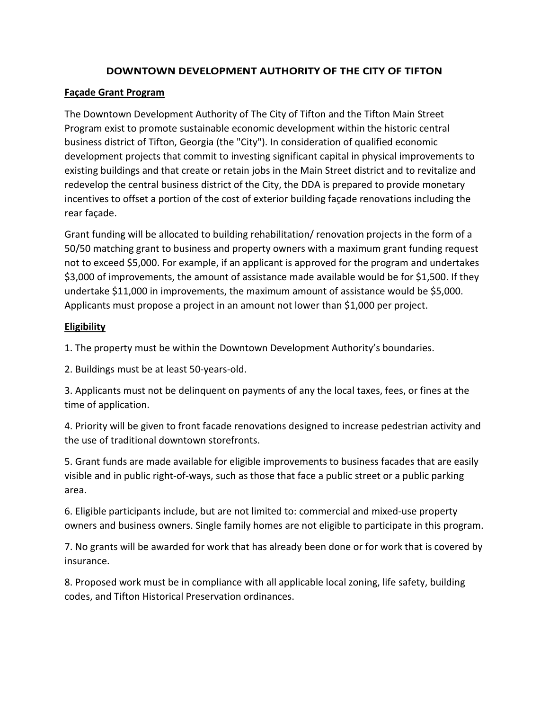# **DOWNTOWN DEVELOPMENT AUTHORITY OF THE CITY OF TIFTON**

## **Façade Grant Program**

The Downtown Development Authority of The City of Tifton and the Tifton Main Street Program exist to promote sustainable economic development within the historic central business district of Tifton, Georgia (the "City"). In consideration of qualified economic development projects that commit to investing significant capital in physical improvements to existing buildings and that create or retain jobs in the Main Street district and to revitalize and redevelop the central business district of the City, the DDA is prepared to provide monetary incentives to offset a portion of the cost of exterior building façade renovations including the rear façade.

Grant funding will be allocated to building rehabilitation/ renovation projects in the form of a 50/50 matching grant to business and property owners with a maximum grant funding request not to exceed \$5,000. For example, if an applicant is approved for the program and undertakes \$3,000 of improvements, the amount of assistance made available would be for \$1,500. If they undertake \$11,000 in improvements, the maximum amount of assistance would be \$5,000. Applicants must propose a project in an amount not lower than \$1,000 per project.

#### **Eligibility**

1. The property must be within the Downtown Development Authority's boundaries.

2. Buildings must be at least 50-years-old.

3. Applicants must not be delinquent on payments of any the local taxes, fees, or fines at the time of application.

4. Priority will be given to front facade renovations designed to increase pedestrian activity and the use of traditional downtown storefronts.

5. Grant funds are made available for eligible improvements to business facades that are easily visible and in public right-of-ways, such as those that face a public street or a public parking area.

6. Eligible participants include, but are not limited to: commercial and mixed-use property owners and business owners. Single family homes are not eligible to participate in this program.

7. No grants will be awarded for work that has already been done or for work that is covered by insurance.

8. Proposed work must be in compliance with all applicable local zoning, life safety, building codes, and Tifton Historical Preservation ordinances.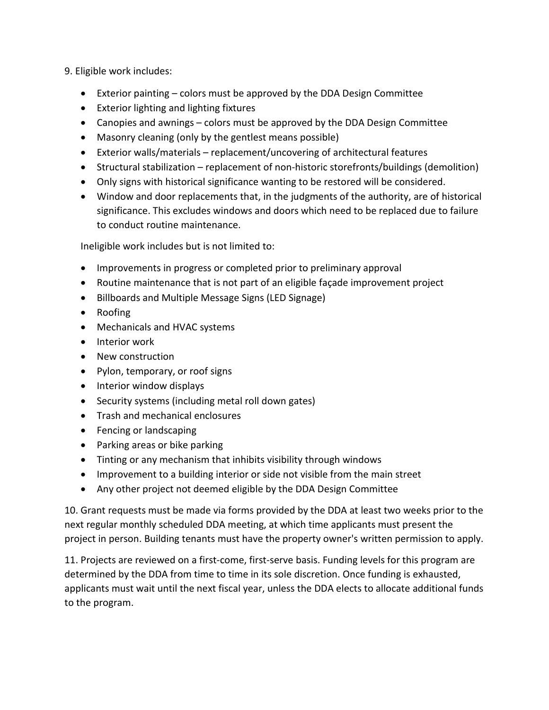## 9. Eligible work includes:

- Exterior painting colors must be approved by the DDA Design Committee
- Exterior lighting and lighting fixtures
- Canopies and awnings colors must be approved by the DDA Design Committee
- Masonry cleaning (only by the gentlest means possible)
- Exterior walls/materials replacement/uncovering of architectural features
- Structural stabilization replacement of non-historic storefronts/buildings (demolition)
- Only signs with historical significance wanting to be restored will be considered.
- Window and door replacements that, in the judgments of the authority, are of historical significance. This excludes windows and doors which need to be replaced due to failure to conduct routine maintenance.

Ineligible work includes but is not limited to:

- Improvements in progress or completed prior to preliminary approval
- Routine maintenance that is not part of an eligible façade improvement project
- Billboards and Multiple Message Signs (LED Signage)
- Roofing
- Mechanicals and HVAC systems
- Interior work
- New construction
- Pylon, temporary, or roof signs
- Interior window displays
- Security systems (including metal roll down gates)
- Trash and mechanical enclosures
- Fencing or landscaping
- Parking areas or bike parking
- Tinting or any mechanism that inhibits visibility through windows
- Improvement to a building interior or side not visible from the main street
- Any other project not deemed eligible by the DDA Design Committee

10. Grant requests must be made via forms provided by the DDA at least two weeks prior to the next regular monthly scheduled DDA meeting, at which time applicants must present the project in person. Building tenants must have the property owner's written permission to apply.

11. Projects are reviewed on a first-come, first-serve basis. Funding levels for this program are determined by the DDA from time to time in its sole discretion. Once funding is exhausted, applicants must wait until the next fiscal year, unless the DDA elects to allocate additional funds to the program.